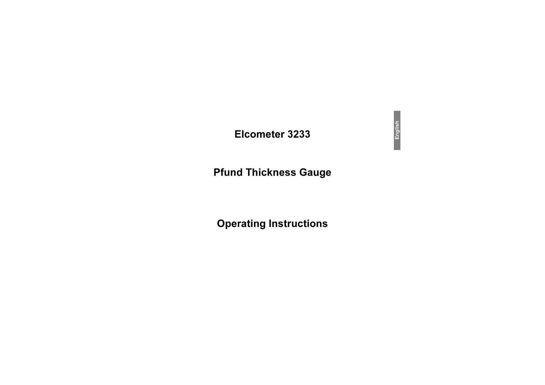# Elcometer 3233

# **Pfund Thickness Gauge**

# **Operating Instructions**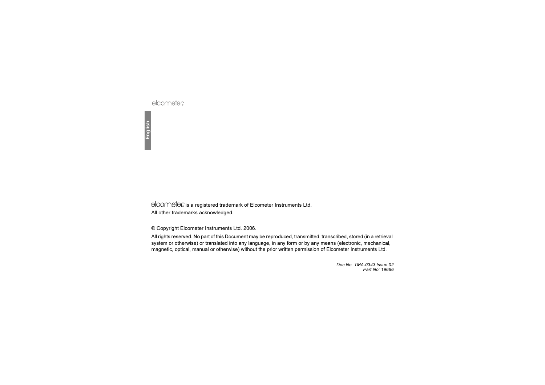elcometer

elcomete is a registered trademark of Elcometer Instruments Ltd. All other trademarks acknowledged.

© Copyright Elcometer Instruments Ltd. 2006.

All rights reserved. No part of this Document may be reproduced, transmitted, transcribed, stored (in a retrieval system or otherwise) or translated into any language, in any form or by any means (electronic, mechanical, magnetic, optical, manual or otherwise) without the prior written permission of Elcometer Instruments Ltd.

> Doc.No. TMA-0343 Issue 02Part No: 19686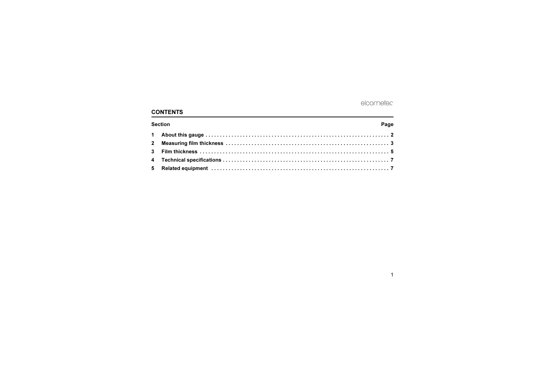# **CONTENTS**

| <b>Section</b> |  | Page |
|----------------|--|------|
|                |  |      |
|                |  |      |
|                |  |      |
|                |  |      |
|                |  |      |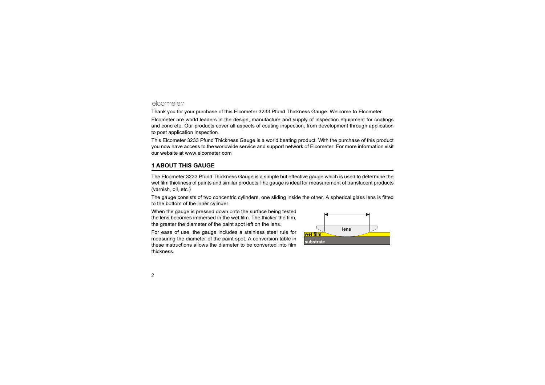# elcometer

Thank you for your purchase of this Elcometer 3233 Pfund Thickness Gauge. Welcome to Elcometer.

Elcometer are world leaders in the design, manufacture and supply of inspection equipment for coatings and concrete. Our products cover all aspects of coating inspection, from development through application to post application inspection.

This Elcometer 3233 Pfund Thickness Gauge is a world beating product. With the purchase of this product [you now have access to the worldwide service and support network of Elcometer. For more information visit](http://www.elcometer.com) our website at www.elcometer.com

# <span id="page-3-0"></span>1 ABOUT THIS GAUGE

The Elcometer 3233 Pfund Thickness Gauge is a simple but effective gauge which is used to determine the wet film thickness of paints and similar products The gauge is ideal for measurement of translucent products (varnish, oil, etc.)

The gauge consists of two concentric cylinders, one sliding inside the other. A spherical glass lens is fitted to the bottom of the inner cylinder.

When the gauge is pressed down onto the surface being tested the lens becomes immersed in the wet film. The thicker the film, the greater the diameter of the paint spot left on the lens.

For ease of use, the gauge includes a stainless steel rule for measuring the diameter of the paint spot. A conversion table in these instructions allows the diameter to be converted into filmthickness.

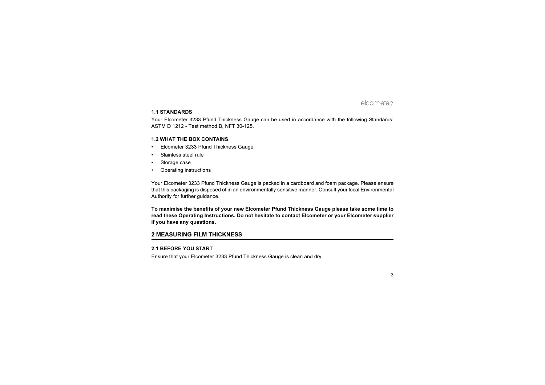### 1.1 STANDARDS

Your Elcometer 3233 Pfund Thickness Gauge can be used in accordance with the following Standards; ASTM D 1212 - Test method B, NFT 30-125.

#### 1.2 WHAT THE BOX CONTAINS

- •Elcometer 3233 Pfund Thickness Gauge
- •Stainless steel rule
- •Storage case
- •Operating instructions

Your Elcometer 3233 Pfund Thickness Gauge is packed in a cardboard and foam package. Please ensure that this packaging is disposed of in an environmentally sensitive manner. Consult your local Environmental Authority for further guidance.

To maximise the benefits of your new Elcometer Pfund Thickness Gauge please take some time to read these Operating Instructions. Do not hesitate to contact Elcometer or your Elcometer supplier if you have any questions.

# <span id="page-4-0"></span>2 MEASURING FILM THICKNESS

#### 2.1 BEFORE YOU START

Ensure that your Elcometer 3233 Pfund Thickness Gauge is clean and dry.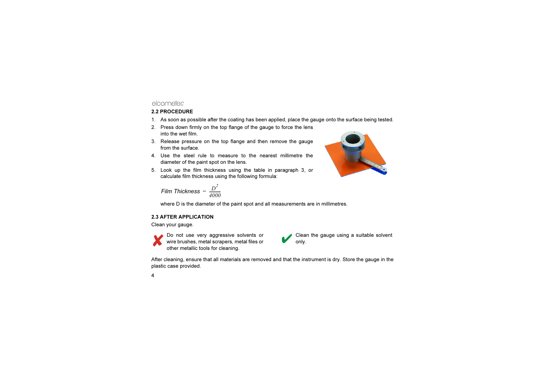# elcometer

## 2.2 PROCEDURE

- 1. As soon as possible after the coating has been applied, place the gauge onto the surface being tested.
- 2. Press down firmly on the top flange of the gauge to force the lens into the wet film.
- 3. Release pressure on the top flange and then remove the gauge from the surface.
- 4. Use the steel rule to measure to the nearest millimetre thediameter of the paint spot on the lens.
- 5. Look up the film thickness using the table in paragraph [3](#page-6-0), or calculate film thickness using the following formula:



$$
Film\ Thickness = \frac{D^2}{4000}
$$

where D is the diameter of the paint spot and all measurements are in millimetres.

## 2.3 AFTER APPLICATION

Clean your gauge.



Do not use very aggressive solvents or wire brushes, metal scrapers, metal files or other metallic tools for cleaning.



After cleaning, ensure that all materials are removed and that the instrument is dry. Store the gauge in the plastic case provided.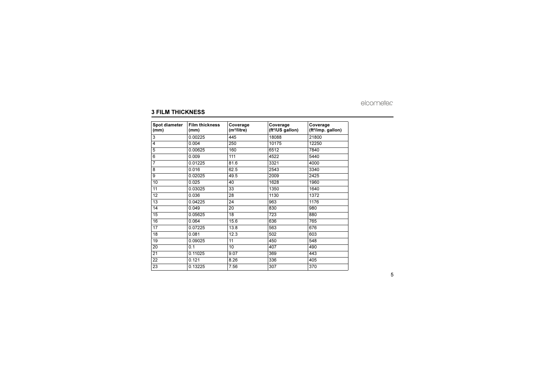### <span id="page-6-0"></span>3 FILM THICKNESS

| Spot diameter<br>(mm) | <b>Film thickness</b><br>(mm) | Coverage<br>(m <sup>2</sup> /litre) | Coverage<br>(ft <sup>2</sup> /US gallon) | Coverage<br>(ft <sup>2</sup> /imp. gallon) |
|-----------------------|-------------------------------|-------------------------------------|------------------------------------------|--------------------------------------------|
| 3                     | 0.00225                       | 445                                 | 18088                                    | 21800                                      |
| 4                     | 0.004                         | 250                                 | 10175                                    | 12250                                      |
| 5                     | 0.00625                       | 160                                 | 6512                                     | 7840                                       |
| 6                     | 0.009                         | 111                                 | 4522                                     | 5440                                       |
| $\overline{7}$        | 0.01225                       | 81.6                                | 3321                                     | 4000                                       |
| 8                     | 0.016                         | 62.5                                | 2543                                     | 3340                                       |
| 9                     | 0.02025                       | 49.5                                | 2009                                     | 2425                                       |
| 10                    | 0.025                         | 40                                  | 1628                                     | 1960                                       |
| 11                    | 0.03025                       | 33                                  | 1350                                     | 1640                                       |
| 12                    | 0.036                         | 28                                  | 1130                                     | 1372                                       |
| 13                    | 0.04225                       | 24                                  | 963                                      | 1176                                       |
| 14                    | 0.049                         | 20                                  | 830                                      | 980                                        |
| 15                    | 0.05625                       | 18                                  | 723                                      | 880                                        |
| 16                    | 0.064                         | 15.6                                | 636                                      | 765                                        |
| 17                    | 0.07225                       | 13.8                                | 563                                      | 676                                        |
| 18                    | 0.081                         | 12.3                                | 502                                      | 603                                        |
| 19                    | 0.09025                       | 11                                  | 450                                      | 548                                        |
| 20                    | 0.1                           | 10                                  | 407                                      | 490                                        |
| 21                    | 0.11025                       | 9.07                                | 369                                      | 443                                        |
| 22                    | 0.121                         | 8.26                                | 336                                      | 405                                        |
| 23                    | 0.13225                       | 7.56                                | 307                                      | 370                                        |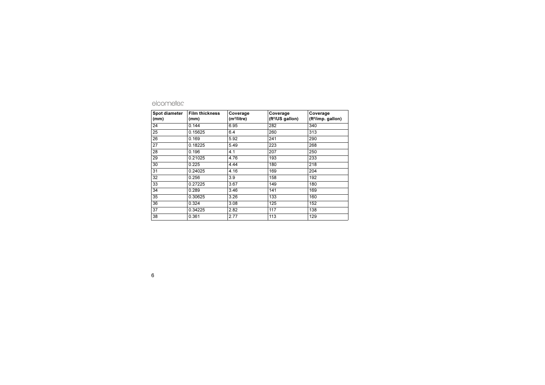| <b>Spot diameter</b><br>(mm) | <b>Film thickness</b><br>(mm) | Coverage<br>(m <sup>2</sup> /litre) | Coverage<br>(ft <sup>2</sup> /US gallon) | Coverage<br>(ft <sup>2</sup> /imp. gallon) |
|------------------------------|-------------------------------|-------------------------------------|------------------------------------------|--------------------------------------------|
| 24                           | 0.144                         | 6.95                                | 282                                      | 340                                        |
| 25                           | 0.15625                       | 6.4                                 | 260                                      | 313                                        |
| 26                           | 0.169                         | 5.92                                | 241                                      | 290                                        |
| 27                           | 0.18225                       | 5.49                                | 223                                      | 268                                        |
| 28                           | 0.196                         | 4.1                                 | 207                                      | 250                                        |
| 29                           | 0.21025                       | 4.76                                | 193                                      | 233                                        |
| 30                           | 0.225                         | 4.44                                | 180                                      | 218                                        |
| 31                           | 0.24025                       | 4.16                                | 169                                      | 204                                        |
| 32                           | 0.256                         | 3.9                                 | 158                                      | 192                                        |
| 33                           | 0.27225                       | 3.67                                | 149                                      | 180                                        |
| 34                           | 0.289                         | 3.46                                | 141                                      | 169                                        |
| 35                           | 0.30625                       | 3.26                                | 133                                      | 160                                        |
| 36                           | 0.324                         | 3.08                                | 125                                      | 152                                        |
| 37                           | 0.34225                       | 2.82                                | 117                                      | 138                                        |
| 38                           | 0.361                         | 2.77                                | 113                                      | 129                                        |